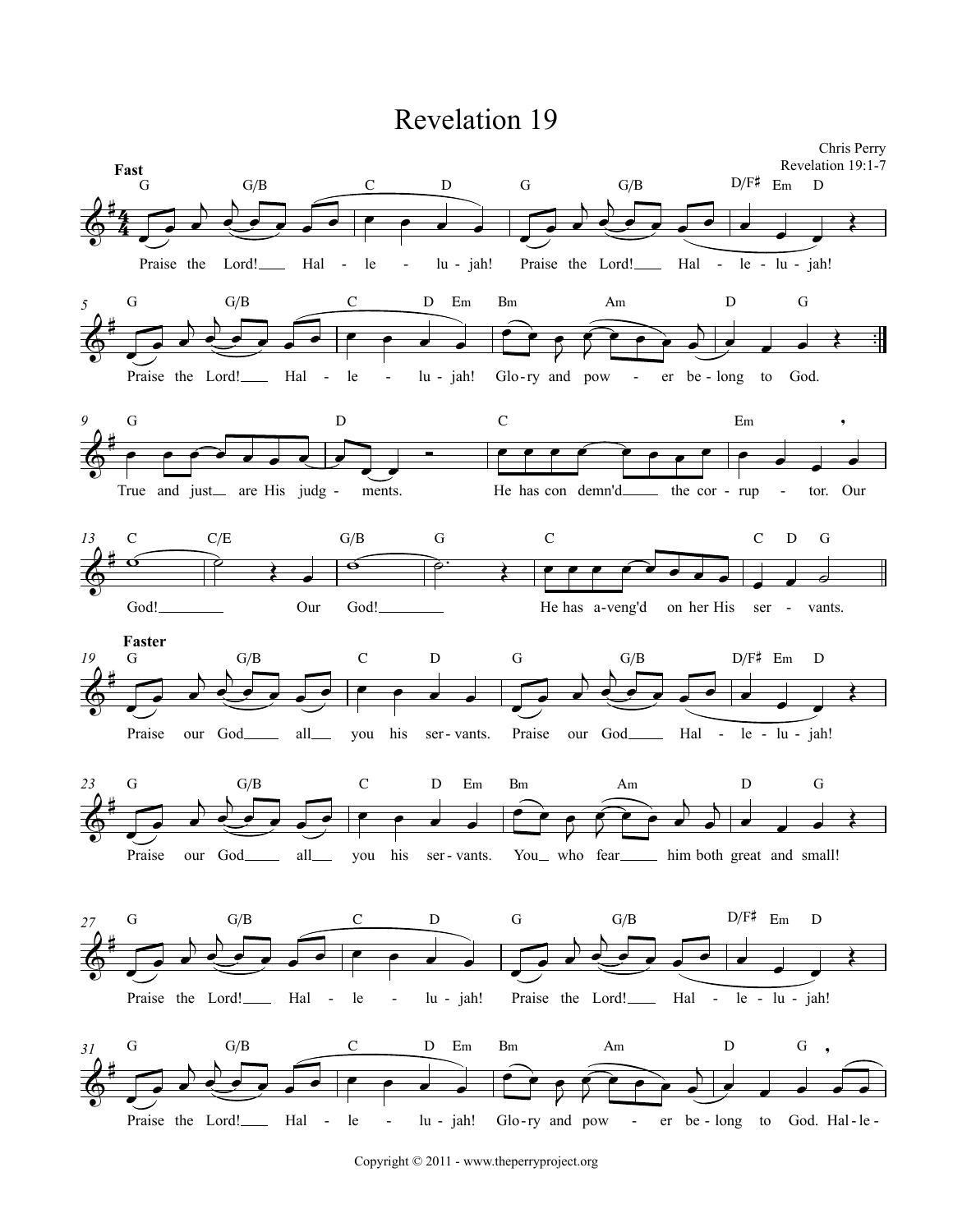## **Revelation 19**



Copyright © 2011 - www.theperryproject.org